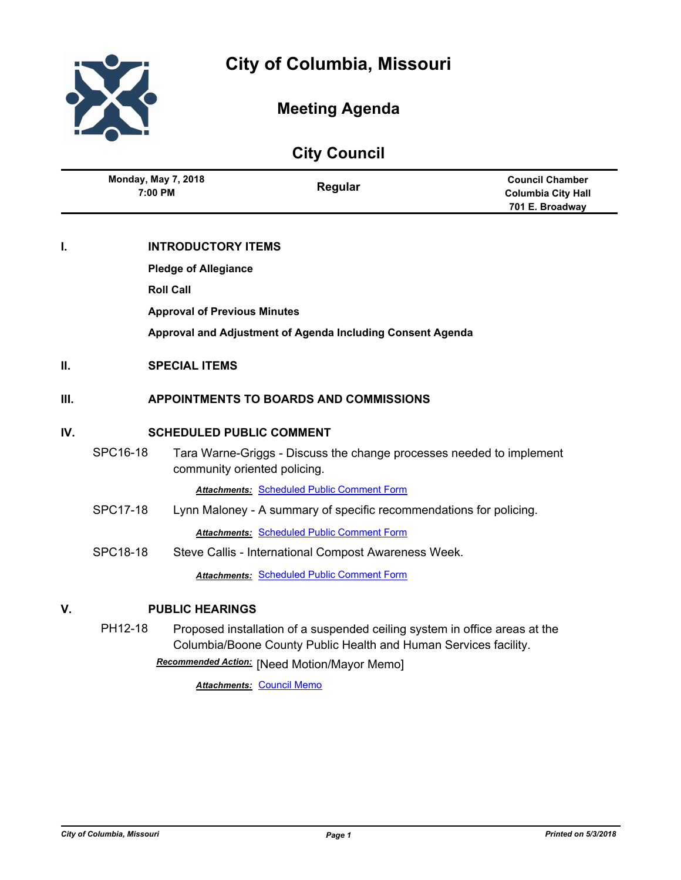



# **Meeting Agenda**

# **City Council**

|      | <b>Monday, May 7, 2018</b><br>7:00 PM         | Regular                                                              | <b>Council Chamber</b><br><b>Columbia City Hall</b><br>701 E. Broadway |  |  |
|------|-----------------------------------------------|----------------------------------------------------------------------|------------------------------------------------------------------------|--|--|
|      |                                               |                                                                      |                                                                        |  |  |
| I.   | <b>INTRODUCTORY ITEMS</b>                     |                                                                      |                                                                        |  |  |
|      | <b>Pledge of Allegiance</b>                   |                                                                      |                                                                        |  |  |
|      | <b>Roll Call</b>                              |                                                                      |                                                                        |  |  |
|      |                                               | <b>Approval of Previous Minutes</b>                                  |                                                                        |  |  |
|      |                                               | Approval and Adjustment of Agenda Including Consent Agenda           |                                                                        |  |  |
| II.  | <b>SPECIAL ITEMS</b>                          |                                                                      |                                                                        |  |  |
| III. | <b>APPOINTMENTS TO BOARDS AND COMMISSIONS</b> |                                                                      |                                                                        |  |  |
| IV.  | <b>SCHEDULED PUBLIC COMMENT</b>               |                                                                      |                                                                        |  |  |
|      | SPC16-18                                      | Tara Warne-Griggs - Discuss the change processes needed to implement |                                                                        |  |  |

community oriented policing.

*Attachments:* [Scheduled Public Comment Form](http://gocolumbiamo.legistar.com/gateway.aspx?M=F&ID=6d166f78-c875-41e3-925e-b38dcf7f1566.pdf)

- SPC17-18 Lynn Maloney A summary of specific recommendations for policing. *Attachments:* [Scheduled Public Comment Form](http://gocolumbiamo.legistar.com/gateway.aspx?M=F&ID=9f8ee122-2eeb-4d88-9963-f4307d003fec.pdf)
- SPC18-18 Steve Callis International Compost Awareness Week.

*Attachments:* [Scheduled Public Comment Form](http://gocolumbiamo.legistar.com/gateway.aspx?M=F&ID=a7529952-f351-4304-8b5b-faf9aa961b92.pdf)

## **V. PUBLIC HEARINGS**

PH12-18 Proposed installation of a suspended ceiling system in office areas at the Columbia/Boone County Public Health and Human Services facility.

[Need Motion/Mayor Memo] *Recommended Action:*

*Attachments:* [Council Memo](http://gocolumbiamo.legistar.com/gateway.aspx?M=F&ID=94ef28c5-0dae-46d2-831c-23073525aec6.docx)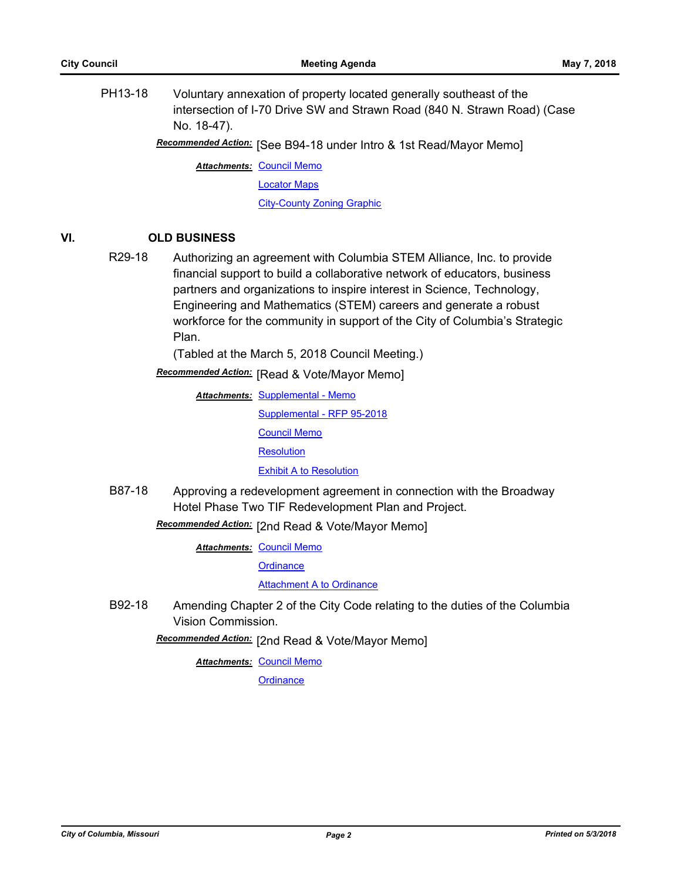PH13-18 Voluntary annexation of property located generally southeast of the intersection of I-70 Drive SW and Strawn Road (840 N. Strawn Road) (Case No. 18-47).

Recommended Action: [See B94-18 under Intro & 1st Read/Mayor Memo]

**Attachments: [Council Memo](http://gocolumbiamo.legistar.com/gateway.aspx?M=F&ID=6123f2f7-fb18-43e5-97f0-74715d9a12ad.docx)** [Locator Maps](http://gocolumbiamo.legistar.com/gateway.aspx?M=F&ID=fdb86e6e-837c-4acd-a283-1b9e6c88e8da.pdf) [City-County Zoning Graphic](http://gocolumbiamo.legistar.com/gateway.aspx?M=F&ID=0964bbd6-056b-4a15-9df0-540f642e638a.pdf)

## **VI. OLD BUSINESS**

R29-18 Authorizing an agreement with Columbia STEM Alliance, Inc. to provide financial support to build a collaborative network of educators, business partners and organizations to inspire interest in Science, Technology, Engineering and Mathematics (STEM) careers and generate a robust workforce for the community in support of the City of Columbia's Strategic Plan.

(Tabled at the March 5, 2018 Council Meeting.)

**Recommended Action:** [Read & Vote/Mayor Memo]

**Attachments: [Supplemental - Memo](http://gocolumbiamo.legistar.com/gateway.aspx?M=F&ID=051370d6-b6aa-44c4-9490-14061015c6fa.docx)** [Supplemental - RFP 95-2018](http://gocolumbiamo.legistar.com/gateway.aspx?M=F&ID=9a2568e8-437b-4a06-b757-12f33ed11dba.docx) [Council Memo](http://gocolumbiamo.legistar.com/gateway.aspx?M=F&ID=b9a4de9d-8bbc-4829-b760-d123cfff21ca.docx) **[Resolution](http://gocolumbiamo.legistar.com/gateway.aspx?M=F&ID=23260137-926a-4e3f-925e-cdb090068ff0.doc) [Exhibit A to Resolution](http://gocolumbiamo.legistar.com/gateway.aspx?M=F&ID=b88bb4c0-8b18-47a8-a7fe-192e203fa617.pdf)** 

B87-18 Approving a redevelopment agreement in connection with the Broadway Hotel Phase Two TIF Redevelopment Plan and Project.

**Recommended Action:** [2nd Read & Vote/Mayor Memo]

**Attachments: [Council Memo](http://gocolumbiamo.legistar.com/gateway.aspx?M=F&ID=20b9b313-e577-456d-bb82-b5883db826fe.docx)** 

**[Ordinance](http://gocolumbiamo.legistar.com/gateway.aspx?M=F&ID=de1c859d-461d-4133-9b83-4d58d88b330a.doc)** 

[Attachment A to Ordinance](http://gocolumbiamo.legistar.com/gateway.aspx?M=F&ID=b0b03dfa-ef2e-4f7a-a3de-c9de3f2becb4.docx)

B92-18 Amending Chapter 2 of the City Code relating to the duties of the Columbia Vision Commission.

Recommended Action: [2nd Read & Vote/Mayor Memo]

**Attachments: [Council Memo](http://gocolumbiamo.legistar.com/gateway.aspx?M=F&ID=04c88a9f-5566-48c8-92a1-5d46ac68abe5.docx)** 

**[Ordinance](http://gocolumbiamo.legistar.com/gateway.aspx?M=F&ID=bd216462-3525-43e4-88d5-9036383d932a.doc)**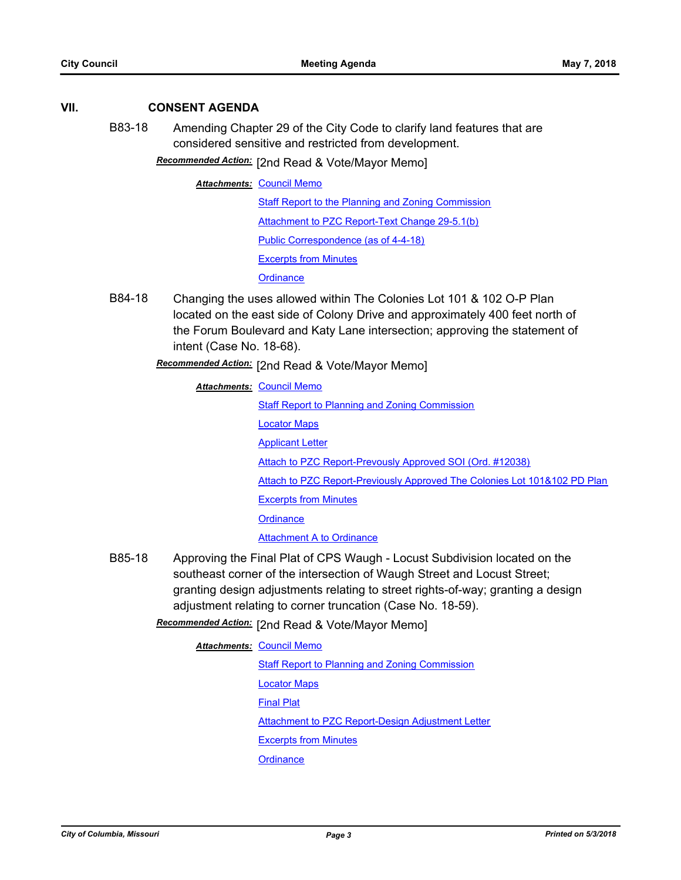## **VII. CONSENT AGENDA**

B83-18 Amending Chapter 29 of the City Code to clarify land features that are considered sensitive and restricted from development.

Recommended Action: [2nd Read & Vote/Mayor Memo]

**Attachments: [Council Memo](http://gocolumbiamo.legistar.com/gateway.aspx?M=F&ID=af347f47-115d-43dc-9422-529c336afd80.docx)** 

[Staff Report to the Planning and Zoning Commission](http://gocolumbiamo.legistar.com/gateway.aspx?M=F&ID=8e6d7b22-1fc7-4e85-b104-0486e7137e91.docx)

[Attachment to PZC Report-Text Change 29-5.1\(b\)](http://gocolumbiamo.legistar.com/gateway.aspx?M=F&ID=fefba767-519f-42bc-9f94-82a6aa9ccbff.pdf)

[Public Correspondence \(as of 4-4-18\)](http://gocolumbiamo.legistar.com/gateway.aspx?M=F&ID=ab6a6535-eadc-40c0-bda5-6f706c04ee49.pdf)

[Excerpts from Minutes](http://gocolumbiamo.legistar.com/gateway.aspx?M=F&ID=49591053-f977-41de-8571-1d498c0373d8.docx)

**[Ordinance](http://gocolumbiamo.legistar.com/gateway.aspx?M=F&ID=d5b5b690-6d71-4039-9c4a-4ce4010bba62.doc)** 

B84-18 Changing the uses allowed within The Colonies Lot 101 & 102 O-P Plan located on the east side of Colony Drive and approximately 400 feet north of the Forum Boulevard and Katy Lane intersection; approving the statement of intent (Case No. 18-68).

[2nd Read & Vote/Mayor Memo] *Recommended Action:*

**Attachments: [Council Memo](http://gocolumbiamo.legistar.com/gateway.aspx?M=F&ID=ed443206-dfe9-4071-a1e7-c64a69e9b5f0.docx)** [Staff Report to Planning and Zoning Commission](http://gocolumbiamo.legistar.com/gateway.aspx?M=F&ID=91f9a8d2-1799-4d02-8143-a3cdbee55111.pdf) [Locator Maps](http://gocolumbiamo.legistar.com/gateway.aspx?M=F&ID=a75195df-e9a4-4b7d-b1ae-d64618e64772.pdf) [Applicant Letter](http://gocolumbiamo.legistar.com/gateway.aspx?M=F&ID=db77ddc4-9c39-4899-a795-24edae767f38.pdf) [Attach to PZC Report-Prevously Approved SOI \(Ord. #12038\)](http://gocolumbiamo.legistar.com/gateway.aspx?M=F&ID=98ca6eaf-1585-4065-9722-b39966460ba9.pdf) [Attach to PZC Report-Previously Approved The Colonies Lot 101&102 PD Plan](http://gocolumbiamo.legistar.com/gateway.aspx?M=F&ID=ba8f6fdd-d953-447e-b282-df0c53d1b759.pdf) [Excerpts from Minutes](http://gocolumbiamo.legistar.com/gateway.aspx?M=F&ID=d2edf0ce-f8c9-4b20-b9cb-7506a1bc5a54.docx) **[Ordinance](http://gocolumbiamo.legistar.com/gateway.aspx?M=F&ID=2200f280-3e5a-4ffe-bd61-20c3b6dbd276.doc) [Attachment A to Ordinance](http://gocolumbiamo.legistar.com/gateway.aspx?M=F&ID=b502eb6c-b646-4119-b53c-87f1fcd64185.pdf)** 

B85-18 Approving the Final Plat of CPS Waugh - Locust Subdivision located on the southeast corner of the intersection of Waugh Street and Locust Street; granting design adjustments relating to street rights-of-way; granting a design adjustment relating to corner truncation (Case No. 18-59).

[2nd Read & Vote/Mayor Memo] *Recommended Action:*

**Attachments: [Council Memo](http://gocolumbiamo.legistar.com/gateway.aspx?M=F&ID=f0353431-747e-4cf8-b053-4b3e66d70ef0.docx)** [Staff Report to Planning and Zoning Commission](http://gocolumbiamo.legistar.com/gateway.aspx?M=F&ID=bcb423e4-9d44-4669-b2cd-e0302028abf9.docx) [Locator Maps](http://gocolumbiamo.legistar.com/gateway.aspx?M=F&ID=69b93033-f534-4376-ab0a-7e6ff0db1750.pdf) [Final Plat](http://gocolumbiamo.legistar.com/gateway.aspx?M=F&ID=40cb63db-2ea1-43d5-885d-9efcc1fecf8c.pdf) [Attachment to PZC Report-Design Adjustment Letter](http://gocolumbiamo.legistar.com/gateway.aspx?M=F&ID=47a1d70b-53d0-4e8b-9b4c-b0467cfa0174.pdf) [Excerpts from Minutes](http://gocolumbiamo.legistar.com/gateway.aspx?M=F&ID=7cc431c3-cf8c-47e0-b20b-90950f86df6f.docx) **[Ordinance](http://gocolumbiamo.legistar.com/gateway.aspx?M=F&ID=2081344d-3fcf-4fe8-9ecb-a800298f14f3.doc)**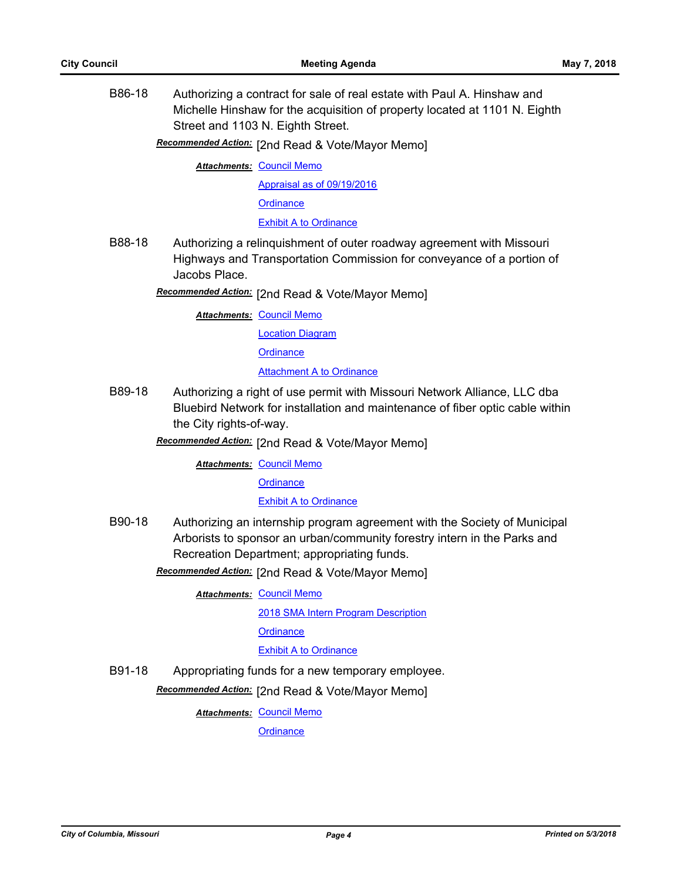B86-18 Authorizing a contract for sale of real estate with Paul A. Hinshaw and Michelle Hinshaw for the acquisition of property located at 1101 N. Eighth Street and 1103 N. Eighth Street.

Recommended Action: [2nd Read & Vote/Mayor Memo]

**Attachments: [Council Memo](http://gocolumbiamo.legistar.com/gateway.aspx?M=F&ID=fb7731cc-f939-4f3f-a333-eaa5838d71f2.docx)** 

[Appraisal as of 09/19/2016](http://gocolumbiamo.legistar.com/gateway.aspx?M=F&ID=146a60a3-3cb0-41b2-abfc-f7128eea4c45.pdf)

**[Ordinance](http://gocolumbiamo.legistar.com/gateway.aspx?M=F&ID=1091a56a-9f28-4b65-a2a2-e039321585af.doc)** 

[Exhibit A to Ordinance](http://gocolumbiamo.legistar.com/gateway.aspx?M=F&ID=81ce55a4-f1d0-4630-b514-add54fc3ad50.docx)

B88-18 Authorizing a relinquishment of outer roadway agreement with Missouri Highways and Transportation Commission for conveyance of a portion of Jacobs Place.

[2nd Read & Vote/Mayor Memo] *Recommended Action:*

**Attachments: [Council Memo](http://gocolumbiamo.legistar.com/gateway.aspx?M=F&ID=48a1f8f9-7d30-440e-8986-b7c544e0151a.docx)** 

[Location Diagram](http://gocolumbiamo.legistar.com/gateway.aspx?M=F&ID=2099639b-93aa-4936-b46b-e07fb608eb76.pdf)

**[Ordinance](http://gocolumbiamo.legistar.com/gateway.aspx?M=F&ID=b549aff1-5c66-45b6-addd-1e3422458980.doc)** 

**[Attachment A to Ordinance](http://gocolumbiamo.legistar.com/gateway.aspx?M=F&ID=2a6c81da-7622-4f40-9065-e693cd12e0de.pdf)** 

B89-18 Authorizing a right of use permit with Missouri Network Alliance, LLC dba Bluebird Network for installation and maintenance of fiber optic cable within the City rights-of-way.

Recommended Action: [2nd Read & Vote/Mayor Memo]

**Attachments: [Council Memo](http://gocolumbiamo.legistar.com/gateway.aspx?M=F&ID=04378f6d-94af-46e8-b0c8-157fcfe8c0bf.docx)** 

**[Ordinance](http://gocolumbiamo.legistar.com/gateway.aspx?M=F&ID=50ea4edd-2561-4297-82be-36e4dcdc6f2f.doc)** 

[Exhibit A to Ordinance](http://gocolumbiamo.legistar.com/gateway.aspx?M=F&ID=9ab1aa42-1a23-4705-8b45-80de1dd6dc4c.pdf)

- B90-18 Authorizing an internship program agreement with the Society of Municipal Arborists to sponsor an urban/community forestry intern in the Parks and Recreation Department; appropriating funds.
	- Recommended Action: [2nd Read & Vote/Mayor Memo]
		- **Attachments: [Council Memo](http://gocolumbiamo.legistar.com/gateway.aspx?M=F&ID=45b46dae-0db6-4257-bfa7-d4c7fb8498a0.docx)**

[2018 SMA Intern Program Description](http://gocolumbiamo.legistar.com/gateway.aspx?M=F&ID=c8c7e6f9-a885-4b9f-b5a8-02109780ff3f.pdf)

**[Ordinance](http://gocolumbiamo.legistar.com/gateway.aspx?M=F&ID=940691b3-a4ee-473d-989d-a4c9e728ba01.doc)** 

**[Exhibit A to Ordinance](http://gocolumbiamo.legistar.com/gateway.aspx?M=F&ID=dcd7e23a-a3fc-4a3c-b839-388f65eadd93.pdf)** 

B91-18 Appropriating funds for a new temporary employee.

**Recommended Action:** [2nd Read & Vote/Mayor Memo]

**Attachments: [Council Memo](http://gocolumbiamo.legistar.com/gateway.aspx?M=F&ID=5241ee34-10e8-4f96-aea1-72054357cb22.docx)** 

**[Ordinance](http://gocolumbiamo.legistar.com/gateway.aspx?M=F&ID=195b038c-853b-475d-8214-3d7c8da6a82e.doc)**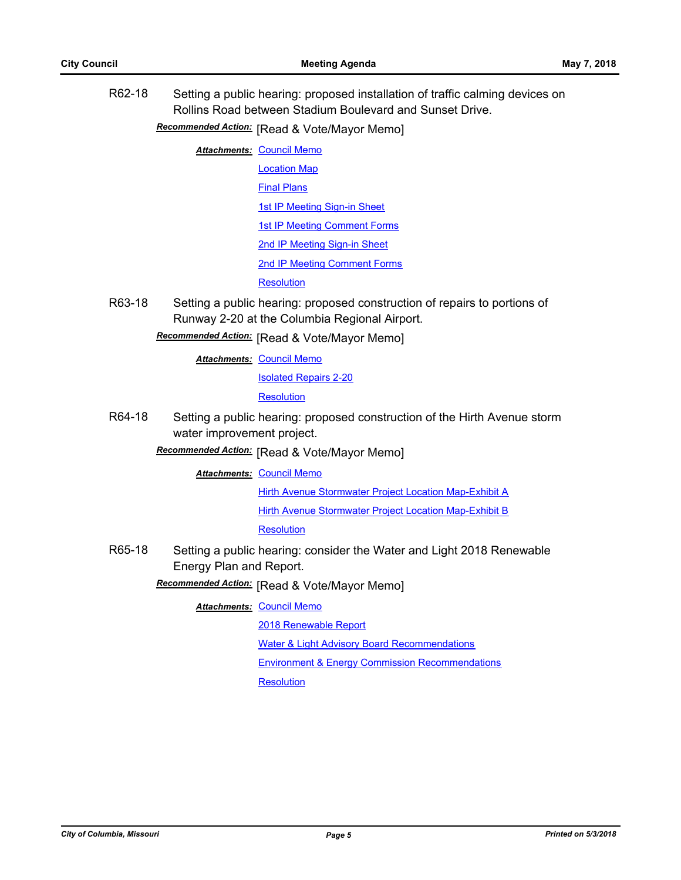R62-18 Setting a public hearing: proposed installation of traffic calming devices on Rollins Road between Stadium Boulevard and Sunset Drive. **Recommended Action:** [Read & Vote/Mayor Memo] **Attachments: [Council Memo](http://gocolumbiamo.legistar.com/gateway.aspx?M=F&ID=b2609df5-e0be-4337-a7b6-8176de28cc73.docx)** [Location Map](http://gocolumbiamo.legistar.com/gateway.aspx?M=F&ID=e7ef05fc-d790-4484-9779-7a6bb0140534.pdf) [Final Plans](http://gocolumbiamo.legistar.com/gateway.aspx?M=F&ID=17cf1372-ca30-463a-acec-7f54d7ebbf60.pdf) [1st IP Meeting Sign-in Sheet](http://gocolumbiamo.legistar.com/gateway.aspx?M=F&ID=151f3bd8-ba85-4c9b-9a25-a23f3193659a.pdf) [1st IP Meeting Comment Forms](http://gocolumbiamo.legistar.com/gateway.aspx?M=F&ID=00c70ada-3803-4314-9740-8278129bbbad.pdf) [2nd IP Meeting Sign-in Sheet](http://gocolumbiamo.legistar.com/gateway.aspx?M=F&ID=de004b20-5c23-4169-a06a-18783407cd51.pdf) [2nd IP Meeting Comment Forms](http://gocolumbiamo.legistar.com/gateway.aspx?M=F&ID=35696742-1a74-4e4d-b238-e96f2319b491.pdf) **[Resolution](http://gocolumbiamo.legistar.com/gateway.aspx?M=F&ID=8e5c3807-49fa-480b-8f96-4be33ce594c6.doc)** R63-18 Setting a public hearing: proposed construction of repairs to portions of Runway 2-20 at the Columbia Regional Airport. **Recommended Action:** [Read & Vote/Mayor Memo] **Attachments: [Council Memo](http://gocolumbiamo.legistar.com/gateway.aspx?M=F&ID=ce76217b-f3e0-40cd-8fe7-7d073c74f38b.docx)** [Isolated Repairs 2-20](http://gocolumbiamo.legistar.com/gateway.aspx?M=F&ID=ad9323e5-f829-4f19-b3d2-7c4dc2f30277.pdf) **[Resolution](http://gocolumbiamo.legistar.com/gateway.aspx?M=F&ID=bf856ef5-3f57-48f1-bb66-289c08a50a4c.doc)** R64-18 Setting a public hearing: proposed construction of the Hirth Avenue storm water improvement project. **Recommended Action:** [Read & Vote/Mayor Memo] **Attachments: [Council Memo](http://gocolumbiamo.legistar.com/gateway.aspx?M=F&ID=ba524c13-2dad-4790-bf30-06ce6b61d294.docx)** [Hirth Avenue Stormwater Project Location Map-Exhibit A](http://gocolumbiamo.legistar.com/gateway.aspx?M=F&ID=a0989907-674c-462d-bb54-5fc2b8898fc4.pdf) [Hirth Avenue Stormwater Project Location Map-Exhibit B](http://gocolumbiamo.legistar.com/gateway.aspx?M=F&ID=ebb31177-bf6f-4b6b-9c91-9c38cbcdeb6c.pdf) **[Resolution](http://gocolumbiamo.legistar.com/gateway.aspx?M=F&ID=35593477-61a6-4044-b376-df271b7223a6.doc)** R65-18 Setting a public hearing: consider the Water and Light 2018 Renewable Energy Plan and Report. **Recommended Action:** [Read & Vote/Mayor Memo] **Attachments: [Council Memo](http://gocolumbiamo.legistar.com/gateway.aspx?M=F&ID=ae63aa07-7dc5-4041-ba76-15b16230da02.docx)** [2018 Renewable Report](http://gocolumbiamo.legistar.com/gateway.aspx?M=F&ID=f01cf03d-fb34-4df5-998a-e231017d1c18.pdf) [Water & Light Advisory Board Recommendations](http://gocolumbiamo.legistar.com/gateway.aspx?M=F&ID=ae6f51a5-24e9-40e0-a679-10c0861544b1.pdf) [Environment & Energy Commission Recommendations](http://gocolumbiamo.legistar.com/gateway.aspx?M=F&ID=6ba22764-56f0-4446-9619-b775d0744841.pdf) **[Resolution](http://gocolumbiamo.legistar.com/gateway.aspx?M=F&ID=91776a4f-d0e6-42ee-8520-e8c4a87a7b26.doc)**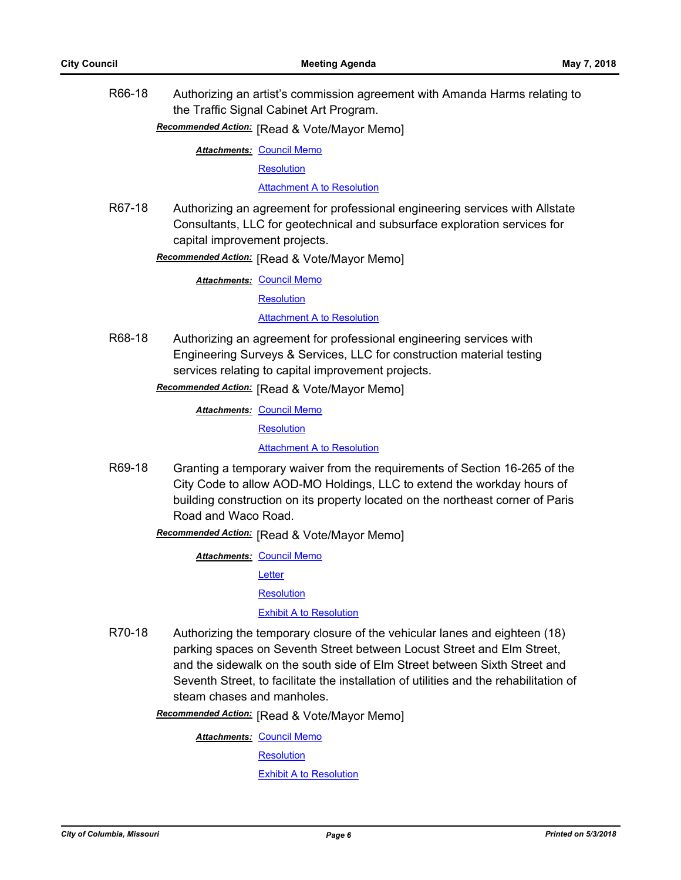R66-18 Authorizing an artist's commission agreement with Amanda Harms relating to the Traffic Signal Cabinet Art Program.

# **Recommended Action:** [Read & Vote/Mayor Memo]

**Attachments: [Council Memo](http://gocolumbiamo.legistar.com/gateway.aspx?M=F&ID=b249a642-750d-4299-9b08-64235f078d00.docx)** 

**[Resolution](http://gocolumbiamo.legistar.com/gateway.aspx?M=F&ID=40876906-480c-4fb4-ac5b-c74f311d3d68.doc)** 

**[Attachment A to Resolution](http://gocolumbiamo.legistar.com/gateway.aspx?M=F&ID=383aa71c-02af-450d-8c5c-0219c260fbf8.pdf)** 

R67-18 Authorizing an agreement for professional engineering services with Allstate Consultants, LLC for geotechnical and subsurface exploration services for capital improvement projects.

**Recommended Action:** [Read & Vote/Mayor Memo]

**Attachments: [Council Memo](http://gocolumbiamo.legistar.com/gateway.aspx?M=F&ID=df4680dc-1be2-4859-ac2e-43a1a5f15028.docx)** 

**[Resolution](http://gocolumbiamo.legistar.com/gateway.aspx?M=F&ID=d0175ea2-4685-4d2b-a353-9ea32c560d2e.doc)** 

[Attachment A to Resolution](http://gocolumbiamo.legistar.com/gateway.aspx?M=F&ID=2d016d1b-54cf-4ed5-bb18-87d367880a53.pdf)

R68-18 Authorizing an agreement for professional engineering services with Engineering Surveys & Services, LLC for construction material testing services relating to capital improvement projects.

**Recommended Action:** [Read & Vote/Mayor Memo]

**Attachments: [Council Memo](http://gocolumbiamo.legistar.com/gateway.aspx?M=F&ID=63df0381-e530-45e8-a89e-b4b7fcee369b.docx)** 

**[Resolution](http://gocolumbiamo.legistar.com/gateway.aspx?M=F&ID=4dfc717a-053d-4875-803e-604417f08a28.doc)** 

**[Attachment A to Resolution](http://gocolumbiamo.legistar.com/gateway.aspx?M=F&ID=d3bdd917-fe47-4e47-8e3b-ab482974d16f.pdf)** 

R69-18 Granting a temporary waiver from the requirements of Section 16-265 of the City Code to allow AOD-MO Holdings, LLC to extend the workday hours of building construction on its property located on the northeast corner of Paris Road and Waco Road.

**Recommended Action: [Read & Vote/Mayor Memo]** 

**Attachments: [Council Memo](http://gocolumbiamo.legistar.com/gateway.aspx?M=F&ID=91048004-191b-4267-9214-5ffead73228b.docx)** 

**[Letter](http://gocolumbiamo.legistar.com/gateway.aspx?M=F&ID=5e301b90-b975-43ec-867f-2fe7de599b9b.pdf)** 

**[Resolution](http://gocolumbiamo.legistar.com/gateway.aspx?M=F&ID=1cc15359-ad12-437a-aa27-887a654dd90c.doc)** 

[Exhibit A to Resolution](http://gocolumbiamo.legistar.com/gateway.aspx?M=F&ID=9587e176-d1ba-4235-b899-88ff5ed5dc79.pdf)

R70-18 Authorizing the temporary closure of the vehicular lanes and eighteen (18) parking spaces on Seventh Street between Locust Street and Elm Street, and the sidewalk on the south side of Elm Street between Sixth Street and Seventh Street, to facilitate the installation of utilities and the rehabilitation of steam chases and manholes.

**Recommended Action:** [Read & Vote/Mayor Memo]

**Attachments: [Council Memo](http://gocolumbiamo.legistar.com/gateway.aspx?M=F&ID=e1f1d94f-27a1-4a99-94ee-2995c8c4fd29.docx)** 

**[Resolution](http://gocolumbiamo.legistar.com/gateway.aspx?M=F&ID=a6657777-5d9a-412d-8ca1-3f2a018ffbef.doc)** 

[Exhibit A to Resolution](http://gocolumbiamo.legistar.com/gateway.aspx?M=F&ID=5c2328fb-aef7-4ddc-afbd-484497d23514.pdf)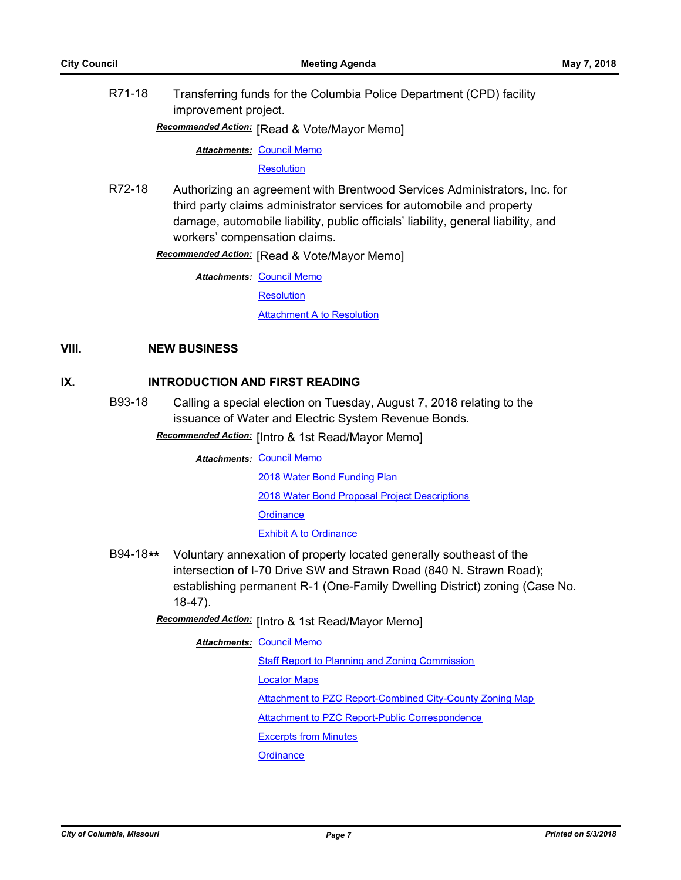R71-18 Transferring funds for the Columbia Police Department (CPD) facility improvement project.

**Recommended Action:** [Read & Vote/Mayor Memo]

**Attachments: [Council Memo](http://gocolumbiamo.legistar.com/gateway.aspx?M=F&ID=02c6a4d0-1d96-42b9-90bd-fe60edbcdea2.docx)** 

**[Resolution](http://gocolumbiamo.legistar.com/gateway.aspx?M=F&ID=31928466-551d-45e3-9517-152477c1d0ee.doc)** 

R72-18 Authorizing an agreement with Brentwood Services Administrators, Inc. for third party claims administrator services for automobile and property damage, automobile liability, public officials' liability, general liability, and workers' compensation claims.

**Recommended Action:** [Read & Vote/Mayor Memo]

**Attachments: [Council Memo](http://gocolumbiamo.legistar.com/gateway.aspx?M=F&ID=a35f511e-ee3b-47bd-a61d-171f8f628381.docx)** 

**[Resolution](http://gocolumbiamo.legistar.com/gateway.aspx?M=F&ID=d7dd0e96-be43-4120-bea8-1431e07fc0f1.doc)** 

[Attachment A to Resolution](http://gocolumbiamo.legistar.com/gateway.aspx?M=F&ID=6ee1d5e5-7e00-4e2a-98f5-f8843d4bdb86.pdf)

## **VIII. NEW BUSINESS**

### **IX. INTRODUCTION AND FIRST READING**

B93-18 Calling a special election on Tuesday, August 7, 2018 relating to the issuance of Water and Electric System Revenue Bonds.

**Recommended Action:** [Intro & 1st Read/Mayor Memo]

**Attachments: [Council Memo](http://gocolumbiamo.legistar.com/gateway.aspx?M=F&ID=6b61d373-a650-4cac-95f5-ab38918bc429.docx)** [2018 Water Bond Funding Plan](http://gocolumbiamo.legistar.com/gateway.aspx?M=F&ID=69459b2b-9e0a-406f-be9d-f705d034113c.pdf) [2018 Water Bond Proposal Project Descriptions](http://gocolumbiamo.legistar.com/gateway.aspx?M=F&ID=01bb0c39-e14e-4067-8a0a-7ce271b51078.docx) **[Ordinance](http://gocolumbiamo.legistar.com/gateway.aspx?M=F&ID=d2f81a4f-a532-446f-95f4-eefef6d98e98.doc)** [Exhibit A to Ordinance](http://gocolumbiamo.legistar.com/gateway.aspx?M=F&ID=e059c1f9-6c5b-44fc-9d44-323ccae4e1a9.doc)

- B94-18**\*\*** Voluntary annexation of property located generally southeast of the intersection of I-70 Drive SW and Strawn Road (840 N. Strawn Road); establishing permanent R-1 (One-Family Dwelling District) zoning (Case No. 18-47).
	- Recommended Action: [Intro & 1st Read/Mayor Memo]
		- **Attachments: [Council Memo](http://gocolumbiamo.legistar.com/gateway.aspx?M=F&ID=33e28fc8-7f2f-4a1c-a891-ebc567d2698f.docx)** [Staff Report to Planning and Zoning Commission](http://gocolumbiamo.legistar.com/gateway.aspx?M=F&ID=45d9a8d9-075b-47c7-b6ee-8f8d1c304e09.docx) [Locator Maps](http://gocolumbiamo.legistar.com/gateway.aspx?M=F&ID=599c3daf-0868-4cc7-881a-99eba744a908.pdf) [Attachment to PZC Report-Combined City-County Zoning Map](http://gocolumbiamo.legistar.com/gateway.aspx?M=F&ID=584fe587-879c-4bfc-95bb-9673e6aa4bd4.pdf) [Attachment to PZC Report-Public Correspondence](http://gocolumbiamo.legistar.com/gateway.aspx?M=F&ID=8ec5cc8e-4fa0-47fc-b0ba-492a7efcab44.pdf) [Excerpts from Minutes](http://gocolumbiamo.legistar.com/gateway.aspx?M=F&ID=d5b2c203-d228-49e1-b2f1-74b20399c52c.docx) **[Ordinance](http://gocolumbiamo.legistar.com/gateway.aspx?M=F&ID=e87bb358-c93f-498d-93a1-6faffe909b83.doc)**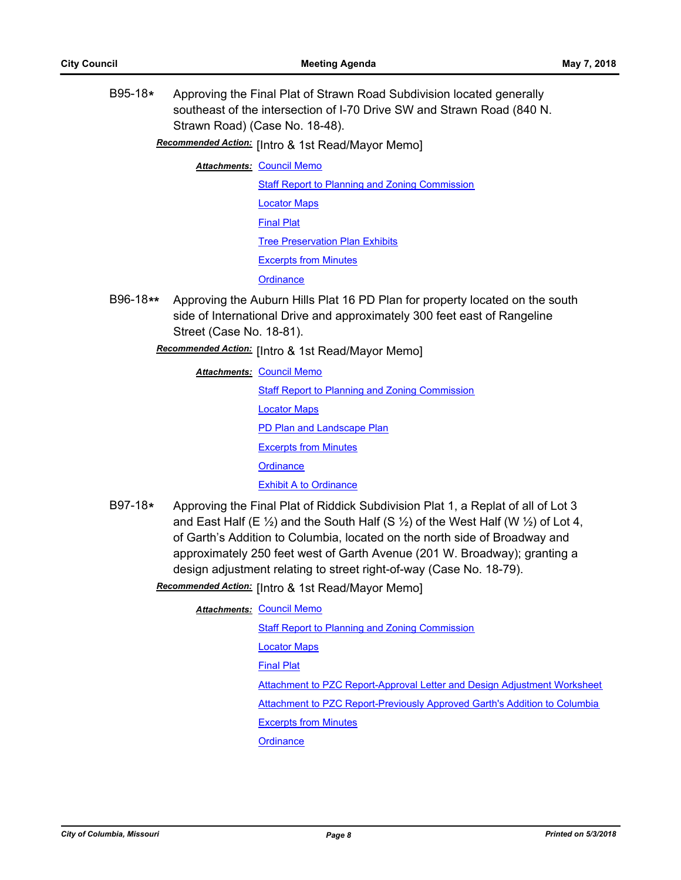B95-18**\*** Approving the Final Plat of Strawn Road Subdivision located generally southeast of the intersection of I-70 Drive SW and Strawn Road (840 N. Strawn Road) (Case No. 18-48).

**Recommended Action:** [Intro & 1st Read/Mayor Memo]

**Attachments: [Council Memo](http://gocolumbiamo.legistar.com/gateway.aspx?M=F&ID=559f4332-058a-482f-ac49-866d61c487c0.docx)** 

**[Staff Report to Planning and Zoning Commission](http://gocolumbiamo.legistar.com/gateway.aspx?M=F&ID=b6714e90-43df-4dc4-865c-38562bb4d53a.docx)** [Locator Maps](http://gocolumbiamo.legistar.com/gateway.aspx?M=F&ID=baa34f24-6a87-4862-a6db-abec7f96c78d.pdf) [Final Plat](http://gocolumbiamo.legistar.com/gateway.aspx?M=F&ID=78499e9d-2b39-4894-b9ad-5009853f8e9a.pdf) [Tree Preservation Plan Exhibits](http://gocolumbiamo.legistar.com/gateway.aspx?M=F&ID=a7ff4688-b154-47c5-abae-804774ec4213.pdf) [Excerpts from Minutes](http://gocolumbiamo.legistar.com/gateway.aspx?M=F&ID=05c395be-1bd1-4597-ad06-4b5cdd972777.docx) **[Ordinance](http://gocolumbiamo.legistar.com/gateway.aspx?M=F&ID=e75087c6-7988-43dd-afbe-fac160d3c8da.doc)** 

- B96-18**\*\*** Approving the Auburn Hills Plat 16 PD Plan for property located on the south side of International Drive and approximately 300 feet east of Rangeline Street (Case No. 18-81).
	- Recommended Action: [Intro & 1st Read/Mayor Memo]

**Attachments: [Council Memo](http://gocolumbiamo.legistar.com/gateway.aspx?M=F&ID=21ebaca4-14b0-4e5d-9cf2-f0359ba14b7e.docx)** 

[Staff Report to Planning and Zoning Commission](http://gocolumbiamo.legistar.com/gateway.aspx?M=F&ID=8d8cec2e-3679-440d-8653-ff27c740a93a.docx) [Locator Maps](http://gocolumbiamo.legistar.com/gateway.aspx?M=F&ID=e3a78bfc-ac89-43ec-887c-9761bbf3d366.pdf) [PD Plan and Landscape Plan](http://gocolumbiamo.legistar.com/gateway.aspx?M=F&ID=ecdf5d8b-8793-465d-b3dc-3e5dfd741d6f.pdf) [Excerpts from Minutes](http://gocolumbiamo.legistar.com/gateway.aspx?M=F&ID=b421f8e5-4feb-42e6-94ab-e093a09941b2.docx) **[Ordinance](http://gocolumbiamo.legistar.com/gateway.aspx?M=F&ID=953263e2-3dfa-4e0f-8527-e7b8621e4b60.doc) [Exhibit A to Ordinance](http://gocolumbiamo.legistar.com/gateway.aspx?M=F&ID=d1dc358e-70e4-43d0-b9c3-8a94fe8ceb3d.pdf)** 

B97-18**\*** Approving the Final Plat of Riddick Subdivision Plat 1, a Replat of all of Lot 3 and East Half (E  $\frac{1}{2}$ ) and the South Half (S  $\frac{1}{2}$ ) of the West Half (W  $\frac{1}{2}$ ) of Lot 4, of Garth's Addition to Columbia, located on the north side of Broadway and approximately 250 feet west of Garth Avenue (201 W. Broadway); granting a design adjustment relating to street right-of-way (Case No. 18-79).

**Recommended Action:** [Intro & 1st Read/Mayor Memo]

#### **Attachments: [Council Memo](http://gocolumbiamo.legistar.com/gateway.aspx?M=F&ID=987673e8-e14a-46b9-b71a-0f939d3b21fc.docx)**

[Staff Report to Planning and Zoning Commission](http://gocolumbiamo.legistar.com/gateway.aspx?M=F&ID=cad7ede5-2b33-4c45-b308-45857bf1f0db.pdf) [Locator Maps](http://gocolumbiamo.legistar.com/gateway.aspx?M=F&ID=1c99a1a8-2731-4ca1-8d1e-1bc765a82fa8.pdf) [Final Plat](http://gocolumbiamo.legistar.com/gateway.aspx?M=F&ID=fab7652f-8bc0-4976-9904-07436f8d0d61.pdf) [Attachment to PZC Report-Approval Letter and Design Adjustment Worksheet](http://gocolumbiamo.legistar.com/gateway.aspx?M=F&ID=0baeab8a-b355-4c6e-b471-630c64e6f09c.pdf) [Attachment to PZC Report-Previously Approved Garth's Addition to Columbia](http://gocolumbiamo.legistar.com/gateway.aspx?M=F&ID=1bba3864-b04d-4b61-8616-d94ce0631583.pdf) [Excerpts from Minutes](http://gocolumbiamo.legistar.com/gateway.aspx?M=F&ID=0ac9650f-815f-4755-b137-20e5f09e3236.docx) **[Ordinance](http://gocolumbiamo.legistar.com/gateway.aspx?M=F&ID=9ade3380-5e25-46eb-82fd-a24b986af432.doc)**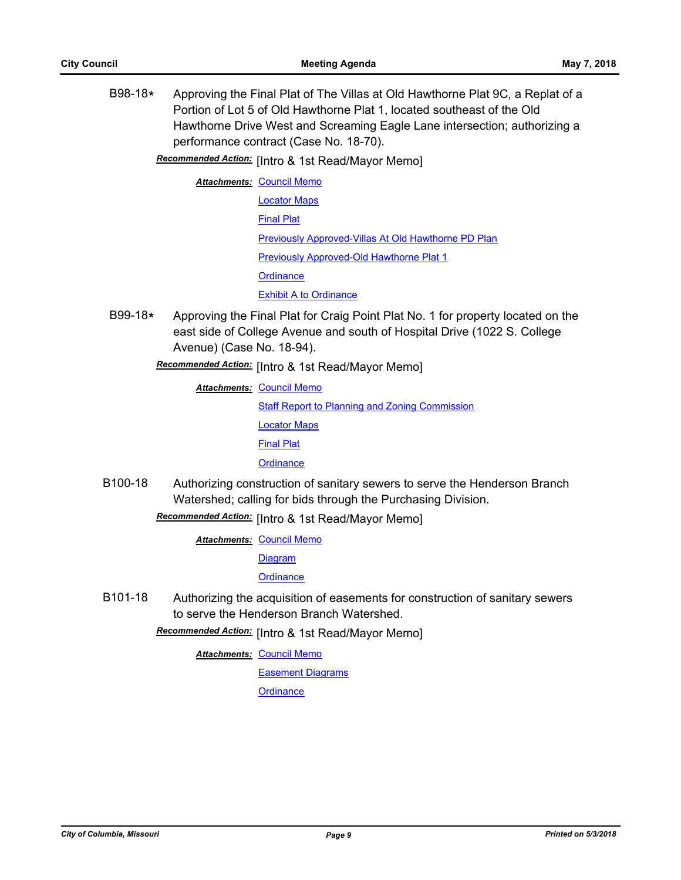B98-18**\*** Approving the Final Plat of The Villas at Old Hawthorne Plat 9C, a Replat of a Portion of Lot 5 of Old Hawthorne Plat 1, located southeast of the Old Hawthorne Drive West and Screaming Eagle Lane intersection; authorizing a performance contract (Case No. 18-70).

Recommended Action: [Intro & 1st Read/Mayor Memo]

- **Attachments: [Council Memo](http://gocolumbiamo.legistar.com/gateway.aspx?M=F&ID=81a12870-0c56-4774-ae8c-06086356ea46.docx)** [Locator Maps](http://gocolumbiamo.legistar.com/gateway.aspx?M=F&ID=572c97da-ffce-4dbb-aea7-b22cd182e9a0.pdf) [Final Plat](http://gocolumbiamo.legistar.com/gateway.aspx?M=F&ID=23de231a-33a6-4dbb-9a69-e6a93b634796.pdf) [Previously Approved-Villas At Old Hawthorne PD Plan](http://gocolumbiamo.legistar.com/gateway.aspx?M=F&ID=cd797ee2-71f1-4b3a-bce6-34a3b5a8b8ed.pdf) **[Previously Approved-Old Hawthorne Plat 1](http://gocolumbiamo.legistar.com/gateway.aspx?M=F&ID=6e38c2ac-b075-41e3-ba43-cfe8c5ce6496.pdf) [Ordinance](http://gocolumbiamo.legistar.com/gateway.aspx?M=F&ID=4b6a6e33-84e6-4b33-9212-20d138e6b5a0.doc)** [Exhibit A to Ordinance](http://gocolumbiamo.legistar.com/gateway.aspx?M=F&ID=52fd3246-5a5b-4e17-93fb-9e9e8f5e156a.pdf)
- B99-18**\*** Approving the Final Plat for Craig Point Plat No. 1 for property located on the east side of College Avenue and south of Hospital Drive (1022 S. College Avenue) (Case No. 18-94).

[Intro & 1st Read/Mayor Memo] *Recommended Action:*

**Attachments: [Council Memo](http://gocolumbiamo.legistar.com/gateway.aspx?M=F&ID=ee28de44-0cb0-4af7-9d0b-b77c4d01fe5b.docx)** [Staff Report to Planning and Zoning Commission](http://gocolumbiamo.legistar.com/gateway.aspx?M=F&ID=ba588fd9-9575-4bf6-8123-01fb225ee687.docx) [Locator Maps](http://gocolumbiamo.legistar.com/gateway.aspx?M=F&ID=51b6346f-d647-4fc1-95b1-10eb47d4d25b.pdf) [Final Plat](http://gocolumbiamo.legistar.com/gateway.aspx?M=F&ID=0c6f96f3-35ea-4509-98ec-dd44ef20d135.pdf) **[Ordinance](http://gocolumbiamo.legistar.com/gateway.aspx?M=F&ID=8e09c415-ba1c-48bc-a9ef-df86e402bb30.doc)** 

B100-18 Authorizing construction of sanitary sewers to serve the Henderson Branch Watershed; calling for bids through the Purchasing Division.

Recommended Action: [Intro & 1st Read/Mayor Memo]

**Attachments: [Council Memo](http://gocolumbiamo.legistar.com/gateway.aspx?M=F&ID=0d55a871-b670-41e8-948d-8b44c85f3212.docx)** 

**[Diagram](http://gocolumbiamo.legistar.com/gateway.aspx?M=F&ID=880fd502-f8f3-4818-b9be-53c3511612a2.pdf)** 

**[Ordinance](http://gocolumbiamo.legistar.com/gateway.aspx?M=F&ID=0d266b75-4b4d-436a-9bd1-abe03812fbcc.doc)** 

B101-18 Authorizing the acquisition of easements for construction of sanitary sewers to serve the Henderson Branch Watershed.

Recommended Action: [Intro & 1st Read/Mayor Memo]

**Attachments: [Council Memo](http://gocolumbiamo.legistar.com/gateway.aspx?M=F&ID=53fef4c3-309f-4f4f-af1b-80eea4a4de4f.docx)** 

[Easement Diagrams](http://gocolumbiamo.legistar.com/gateway.aspx?M=F&ID=38d736f6-3933-4c81-ae50-44c4dc7126f6.pdf)

**[Ordinance](http://gocolumbiamo.legistar.com/gateway.aspx?M=F&ID=49e1fd8f-9b46-4a47-b482-e4003dbf724f.doc)**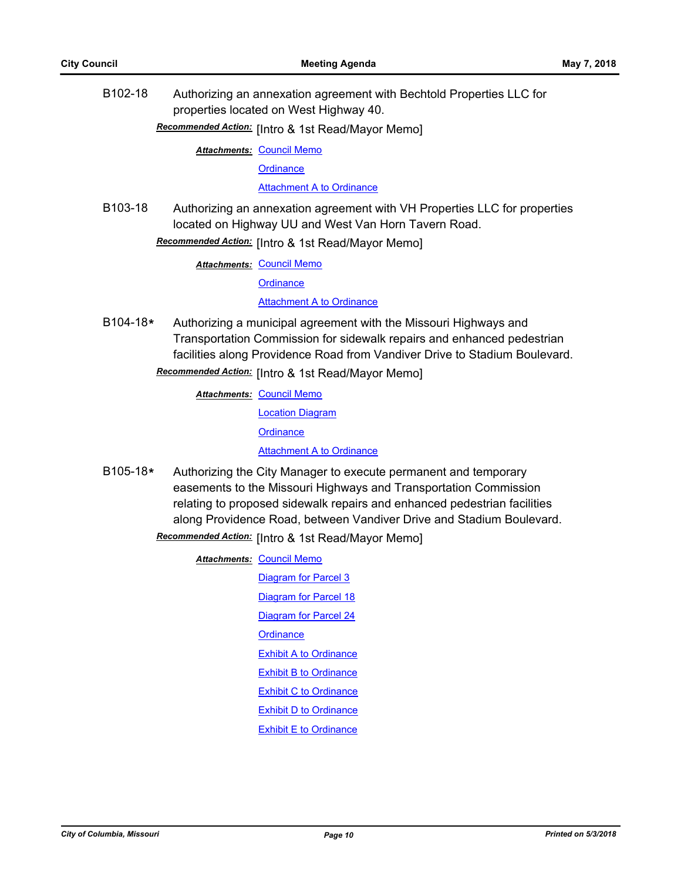B102-18 Authorizing an annexation agreement with Bechtold Properties LLC for properties located on West Highway 40.

## Recommended Action: [Intro & 1st Read/Mayor Memo]

**Attachments: [Council Memo](http://gocolumbiamo.legistar.com/gateway.aspx?M=F&ID=02f958d8-e285-4d4e-8298-fb831987b058.docx)** 

**[Ordinance](http://gocolumbiamo.legistar.com/gateway.aspx?M=F&ID=87db20df-ea71-4d5f-b619-0d3a84de4252.doc)** 

[Attachment A to Ordinance](http://gocolumbiamo.legistar.com/gateway.aspx?M=F&ID=5a815fea-0ad9-4e86-8a67-845b395d61d2.pdf)

B103-18 Authorizing an annexation agreement with VH Properties LLC for properties located on Highway UU and West Van Horn Tavern Road.

Recommended Action: [Intro & 1st Read/Mayor Memo]

**Attachments: [Council Memo](http://gocolumbiamo.legistar.com/gateway.aspx?M=F&ID=f5a40154-4494-46da-9f23-f697f37f8620.docx)** 

**[Ordinance](http://gocolumbiamo.legistar.com/gateway.aspx?M=F&ID=9aa1c050-863b-4153-8473-a44c89336c57.doc)** 

[Attachment A to Ordinance](http://gocolumbiamo.legistar.com/gateway.aspx?M=F&ID=694af683-1a34-4104-b353-d5fbef74d068.pdf)

B104-18**\*** Authorizing a municipal agreement with the Missouri Highways and Transportation Commission for sidewalk repairs and enhanced pedestrian facilities along Providence Road from Vandiver Drive to Stadium Boulevard.

Recommended Action: [Intro & 1st Read/Mayor Memo]

**Attachments: [Council Memo](http://gocolumbiamo.legistar.com/gateway.aspx?M=F&ID=1988340d-80de-4036-9031-6a0252820496.docx)** 

[Location Diagram](http://gocolumbiamo.legistar.com/gateway.aspx?M=F&ID=336c5653-c233-4542-8a4a-e96e262bba8b.pdf)

**[Ordinance](http://gocolumbiamo.legistar.com/gateway.aspx?M=F&ID=f7982814-8b13-4c26-ae52-ba6344a89bc2.doc)** 

[Attachment A to Ordinance](http://gocolumbiamo.legistar.com/gateway.aspx?M=F&ID=1495093b-ad81-4b01-a365-c62c5053b23b.pdf)

B105-18**\*** Authorizing the City Manager to execute permanent and temporary easements to the Missouri Highways and Transportation Commission relating to proposed sidewalk repairs and enhanced pedestrian facilities along Providence Road, between Vandiver Drive and Stadium Boulevard. **Recommended Action:** [Intro & 1st Read/Mayor Memo]

**Attachments: [Council Memo](http://gocolumbiamo.legistar.com/gateway.aspx?M=F&ID=9f05c6ec-9c19-4983-83c7-f3c7a95be081.docx)** 

[Diagram for Parcel 3](http://gocolumbiamo.legistar.com/gateway.aspx?M=F&ID=5d528ab5-d5c3-4d4c-a0fc-7e60cd90a4e7.pdf) [Diagram for Parcel 18](http://gocolumbiamo.legistar.com/gateway.aspx?M=F&ID=590fc45b-32ff-4a19-a2db-0e08321fe8cc.pdf) [Diagram for Parcel 24](http://gocolumbiamo.legistar.com/gateway.aspx?M=F&ID=896eecb4-3975-4849-bf03-7471de65b994.pdf) **[Ordinance](http://gocolumbiamo.legistar.com/gateway.aspx?M=F&ID=bdfd462d-9f22-4f4b-8bf6-68c7944a89cd.doc)** [Exhibit A to Ordinance](http://gocolumbiamo.legistar.com/gateway.aspx?M=F&ID=e78096b4-f71b-43bf-8906-2cd798033ce7.pdf) [Exhibit B to Ordinance](http://gocolumbiamo.legistar.com/gateway.aspx?M=F&ID=43a59992-85ce-4387-ba45-c4457388c850.pdf) [Exhibit C to Ordinance](http://gocolumbiamo.legistar.com/gateway.aspx?M=F&ID=6111369a-7e62-4a05-94ad-f6ab8c22ff9d.pdf) [Exhibit D to Ordinance](http://gocolumbiamo.legistar.com/gateway.aspx?M=F&ID=4e34e8bc-ae20-4121-afb1-ad55b23565d7.pdf) [Exhibit E to Ordinance](http://gocolumbiamo.legistar.com/gateway.aspx?M=F&ID=bc322018-0950-430e-bf18-41f0a6dba481.pdf)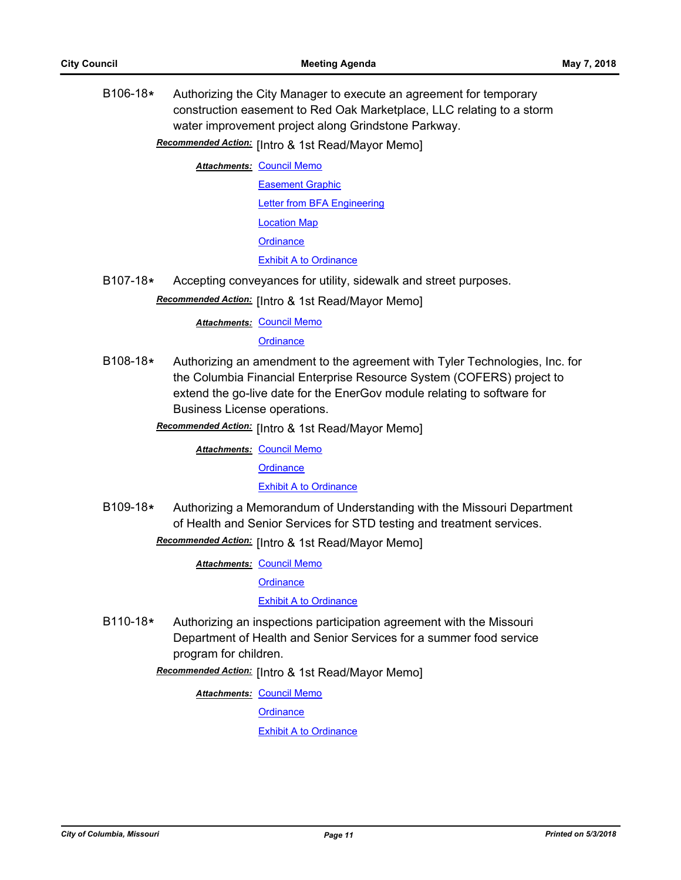B106-18**\*** Authorizing the City Manager to execute an agreement for temporary construction easement to Red Oak Marketplace, LLC relating to a storm water improvement project along Grindstone Parkway.

Recommended Action: [Intro & 1st Read/Mayor Memo]

**Attachments: [Council Memo](http://gocolumbiamo.legistar.com/gateway.aspx?M=F&ID=ef491e3d-3081-4a98-8ed7-b5fa060bd8ef.docx)** 

[Easement Graphic](http://gocolumbiamo.legistar.com/gateway.aspx?M=F&ID=a440ce80-2265-4628-ba49-e4b1f65c97cc.pdf)

[Letter from BFA Engineering](http://gocolumbiamo.legistar.com/gateway.aspx?M=F&ID=d3cd22e4-825a-46b7-8f38-f2f85df1febf.pdf)

[Location Map](http://gocolumbiamo.legistar.com/gateway.aspx?M=F&ID=e904a9f0-70df-4107-ac3e-594961aaebf1.pdf)

**[Ordinance](http://gocolumbiamo.legistar.com/gateway.aspx?M=F&ID=0c0db5de-b2ca-4e7c-99ea-98856caf3b92.doc)** 

[Exhibit A to Ordinance](http://gocolumbiamo.legistar.com/gateway.aspx?M=F&ID=4fefc427-7e6e-473f-8b2f-01e478ef67dc.pdf)

B107-18**\*** Accepting conveyances for utility, sidewalk and street purposes.

Recommended Action: [Intro & 1st Read/Mayor Memo]

**Attachments: [Council Memo](http://gocolumbiamo.legistar.com/gateway.aspx?M=F&ID=9b73c782-8482-420d-9589-461f49d4dab8.docx)** 

**[Ordinance](http://gocolumbiamo.legistar.com/gateway.aspx?M=F&ID=b60e9de3-8904-470d-938b-e9878da715d3.doc)** 

B108-18**\*** Authorizing an amendment to the agreement with Tyler Technologies, Inc. for the Columbia Financial Enterprise Resource System (COFERS) project to extend the go-live date for the EnerGov module relating to software for Business License operations.

Recommended Action: [Intro & 1st Read/Mayor Memo]

**Attachments: [Council Memo](http://gocolumbiamo.legistar.com/gateway.aspx?M=F&ID=a83d38ed-4ae2-44fd-881e-dd5601f6ba5b.docx)** 

**[Ordinance](http://gocolumbiamo.legistar.com/gateway.aspx?M=F&ID=213493c9-4ce1-4755-8fc6-70fd40e2e03b.doc)** 

[Exhibit A to Ordinance](http://gocolumbiamo.legistar.com/gateway.aspx?M=F&ID=db11d0ea-114a-4667-8265-6c64394bdedf.pdf)

B109-18**\*** Authorizing a Memorandum of Understanding with the Missouri Department of Health and Senior Services for STD testing and treatment services.

Recommended Action: [Intro & 1st Read/Mayor Memo]

**Attachments: [Council Memo](http://gocolumbiamo.legistar.com/gateway.aspx?M=F&ID=c91aa48b-5ded-40f2-82ae-12b20c6db0b0.docx)** 

**[Ordinance](http://gocolumbiamo.legistar.com/gateway.aspx?M=F&ID=bbb15556-1b4e-417a-9679-df764eca2406.doc)** 

[Exhibit A to Ordinance](http://gocolumbiamo.legistar.com/gateway.aspx?M=F&ID=8c3a67ec-b96b-457e-8fe4-bc91b85f01ad.pdf)

B110-18**\*** Authorizing an inspections participation agreement with the Missouri Department of Health and Senior Services for a summer food service program for children.

**Recommended Action:** [Intro & 1st Read/Mayor Memo]

**Attachments: [Council Memo](http://gocolumbiamo.legistar.com/gateway.aspx?M=F&ID=5cab4841-4d2d-4860-8b01-33b0dd8c89a9.docx)** 

**[Ordinance](http://gocolumbiamo.legistar.com/gateway.aspx?M=F&ID=cc2121e3-d7e7-4e1c-a356-1ff5ce3be0a0.doc)** 

[Exhibit A to Ordinance](http://gocolumbiamo.legistar.com/gateway.aspx?M=F&ID=e41dabbd-4b6b-4d4a-b6f2-6c91b731aeca.pdf)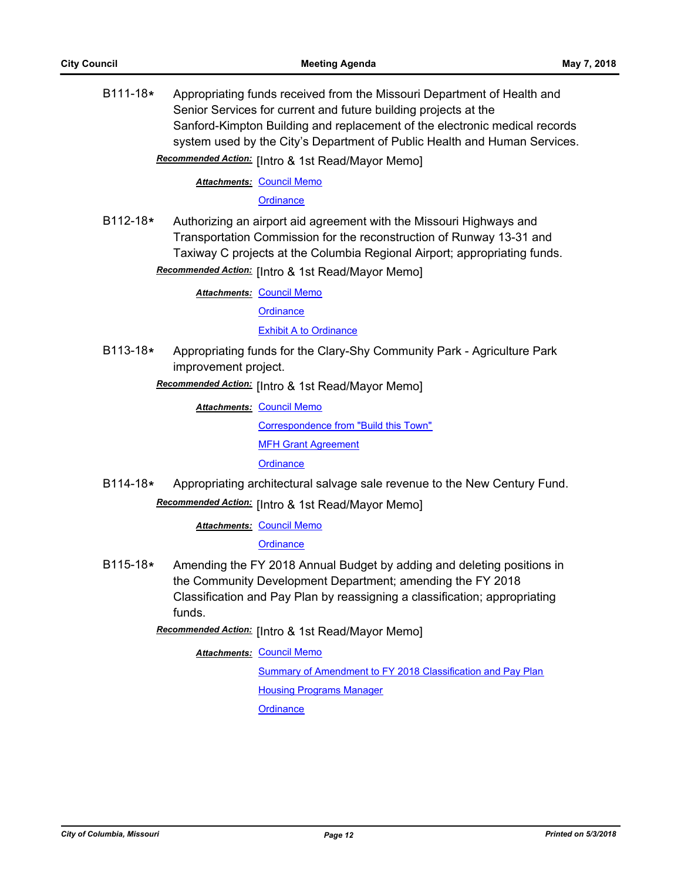B111-18**\*** Appropriating funds received from the Missouri Department of Health and Senior Services for current and future building projects at the Sanford-Kimpton Building and replacement of the electronic medical records system used by the City's Department of Public Health and Human Services. Recommended Action: [Intro & 1st Read/Mayor Memo]

**Attachments: [Council Memo](http://gocolumbiamo.legistar.com/gateway.aspx?M=F&ID=c954548c-93f2-4b6c-a5f2-1f5381c57e3f.docx)** 

**[Ordinance](http://gocolumbiamo.legistar.com/gateway.aspx?M=F&ID=08c753c0-5bc7-4d47-a920-3004e1106d5e.doc)** 

B112-18**\*** Authorizing an airport aid agreement with the Missouri Highways and Transportation Commission for the reconstruction of Runway 13-31 and Taxiway C projects at the Columbia Regional Airport; appropriating funds.

**Recommended Action:** [Intro & 1st Read/Mayor Memo]

**Attachments: [Council Memo](http://gocolumbiamo.legistar.com/gateway.aspx?M=F&ID=56efa884-6a86-420e-8b3b-ef1b2c748282.docx) [Ordinance](http://gocolumbiamo.legistar.com/gateway.aspx?M=F&ID=bea6d5fe-6ef8-4023-a3af-5c53ede4eb51.doc)** 

**[Exhibit A to Ordinance](http://gocolumbiamo.legistar.com/gateway.aspx?M=F&ID=6236b7ed-8e04-4a49-b610-7d99efcfc840.pdf)** 

B113-18**\*** Appropriating funds for the Clary-Shy Community Park - Agriculture Park improvement project.

Recommended Action: [Intro & 1st Read/Mayor Memo]

**Attachments: [Council Memo](http://gocolumbiamo.legistar.com/gateway.aspx?M=F&ID=82789a32-0edf-4fcb-a202-81f6105434d8.docx)** 

[Correspondence from "Build this Town"](http://gocolumbiamo.legistar.com/gateway.aspx?M=F&ID=fc593c8a-8a6e-42c5-b865-a8df8bffd27d.pdf)

[MFH Grant Agreement](http://gocolumbiamo.legistar.com/gateway.aspx?M=F&ID=8d03ba53-fd57-4bfb-899b-52aee75c3472.pdf)

**[Ordinance](http://gocolumbiamo.legistar.com/gateway.aspx?M=F&ID=54bcfe02-92a1-4154-bee9-3ad03d3d0e81.doc)** 

B114-18**\*** Appropriating architectural salvage sale revenue to the New Century Fund.

**Recommended Action:** [Intro & 1st Read/Mayor Memo]

**Attachments: [Council Memo](http://gocolumbiamo.legistar.com/gateway.aspx?M=F&ID=b5c853f7-5817-4145-a688-24fb39fad217.docx)** 

**[Ordinance](http://gocolumbiamo.legistar.com/gateway.aspx?M=F&ID=c01344e4-065a-4aca-a444-28f8d2bb24d1.doc)** 

B115-18**\*** Amending the FY 2018 Annual Budget by adding and deleting positions in the Community Development Department; amending the FY 2018 Classification and Pay Plan by reassigning a classification; appropriating funds.

Recommended Action: [Intro & 1st Read/Mayor Memo]

**Attachments: [Council Memo](http://gocolumbiamo.legistar.com/gateway.aspx?M=F&ID=519c4645-4748-4d81-a166-1af8c815837d.docx)** 

[Summary of Amendment to FY 2018 Classification and Pay Plan](http://gocolumbiamo.legistar.com/gateway.aspx?M=F&ID=501784ff-3b6a-49e2-82bb-81e9c34cf617.doc) [Housing Programs Manager](http://gocolumbiamo.legistar.com/gateway.aspx?M=F&ID=c2c7c7ba-de3d-4f9b-a0c7-f03fbfbf6fbb.docx) **[Ordinance](http://gocolumbiamo.legistar.com/gateway.aspx?M=F&ID=fe113535-668f-4154-b0a8-1ceba923caf0.doc)**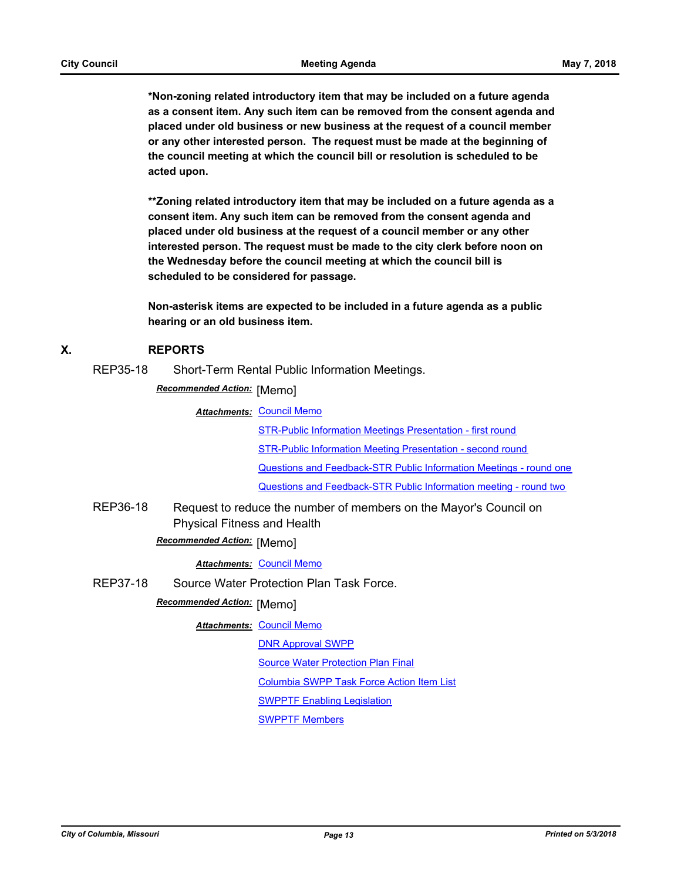**\*Non-zoning related introductory item that may be included on a future agenda as a consent item. Any such item can be removed from the consent agenda and placed under old business or new business at the request of a council member or any other interested person. The request must be made at the beginning of the council meeting at which the council bill or resolution is scheduled to be acted upon.** 

**\*\*Zoning related introductory item that may be included on a future agenda as a consent item. Any such item can be removed from the consent agenda and placed under old business at the request of a council member or any other interested person. The request must be made to the city clerk before noon on the Wednesday before the council meeting at which the council bill is scheduled to be considered for passage.**

**Non-asterisk items are expected to be included in a future agenda as a public hearing or an old business item.**

### **X. REPORTS**

REP35-18 Short-Term Rental Public Information Meetings.

**Recommended Action:** [Memo]

**Attachments: [Council Memo](http://gocolumbiamo.legistar.com/gateway.aspx?M=F&ID=e3c62fa6-3232-4e39-b3fd-a509d955fe4f.docx)** 

[STR-Public Information Meetings Presentation - first round](http://gocolumbiamo.legistar.com/gateway.aspx?M=F&ID=e3e7a66e-6753-4d40-b1bc-b90a3876278d.pdf) [STR-Public Information Meeting Presentation - second round](http://gocolumbiamo.legistar.com/gateway.aspx?M=F&ID=f7b370e2-0fdb-4cac-a211-55c560fa3e68.pdf) [Questions and Feedback-STR Public Information Meetings - round one](http://gocolumbiamo.legistar.com/gateway.aspx?M=F&ID=d7469e26-c042-4271-8ef7-7680006727f0.pdf) [Questions and Feedback-STR Public Information meeting - round two](http://gocolumbiamo.legistar.com/gateway.aspx?M=F&ID=25de3dd5-0c57-4c61-a253-57f31c031f73.pdf)

REP36-18 Request to reduce the number of members on the Mayor's Council on Physical Fitness and Health

## **Recommended Action: [Memo]**

*Attachments:* [Council Memo](http://gocolumbiamo.legistar.com/gateway.aspx?M=F&ID=a85b3a8b-b3c6-42f7-bda4-7686a0756fb6.docx)

REP37-18 Source Water Protection Plan Task Force.

## **Recommended Action: [Memo]**

#### **Attachments: [Council Memo](http://gocolumbiamo.legistar.com/gateway.aspx?M=F&ID=c4bfa1e5-483a-40a2-b7e8-55c958e3b24d.docx)**

[DNR Approval SWPP](http://gocolumbiamo.legistar.com/gateway.aspx?M=F&ID=e92872b3-3970-408e-942d-0e9af5b9c121.pdf)

[Source Water Protection Plan Final](http://gocolumbiamo.legistar.com/gateway.aspx?M=F&ID=f06fa74d-876f-40d5-b353-86c0e8187d7b.pdf)

[Columbia SWPP Task Force Action Item List](http://gocolumbiamo.legistar.com/gateway.aspx?M=F&ID=4332497e-9465-40a5-8468-5dff00a2eed5.docx)

[SWPPTF Enabling Legislation](http://gocolumbiamo.legistar.com/gateway.aspx?M=F&ID=370d745c-b5d6-4a8f-8522-86aae30fbc14.pdf)

[SWPPTF Members](http://gocolumbiamo.legistar.com/gateway.aspx?M=F&ID=1c93b25f-381f-4af5-af81-684fef5a347a.pdf)